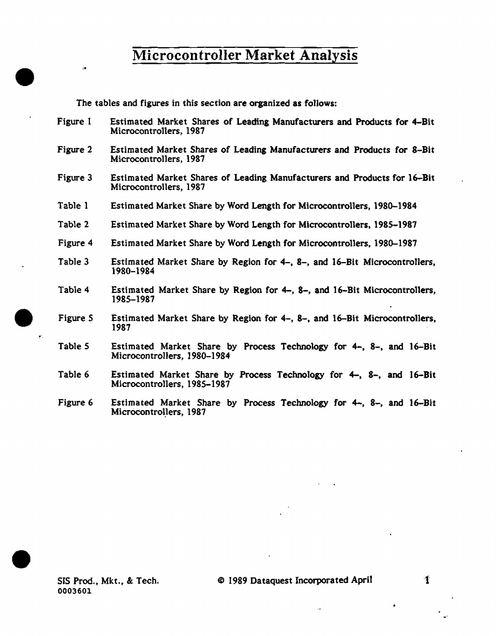The tables and figures in this section are organized as follows:

- Figure I Estimated Market Shares of Leading Manufacturers and Products for 4-Bit Microcontrollers, 1987
- Figure 2 Estimated Market Shares of Leading Manufacturers and Products for 8-Bit Microcontrollers, 1987
- Figure 3 Estimated Market Shares of Leading Manufacturers and Products for 16-Bit Microcontrollers, 1987
- Table 1 Estimated Market Share by Word Length for Microcontrollers, 1980-1984
- Table 2 Estimated Market Share by Word Length for Microcontrollers, 1985-1987
- Figure 4 Estimated Market Share by Word Length for Microcontrollers, 1980-1987
- Table 3 Estimated Market Share by Region for 4-, 8-, and 16-Bit Microcontrotlers, 1980-1984
- Table 4 Estimated Market Share by Region for 4-, 8-, and 16-Bit Microcontrollers, 1985-1987
- Figure *5*  Estimated Market Share by Region for 4-, 8-, and 16-Bit Microcontrollers, 1987
- Table *5*  Estimated Market Share by Process Technology for 4-, 8-, and 16-Bit Microcontrollers, 1980-1984
- Table 6 Estimated Market Share by Process Technology for 4-, 8-, and 16-Bit Microcontrollers, 1985-1987
- Figure 6 Estimated Market Share by Process Technology for 4-, 8-, and 16-Bit Microcontrollers, 1987

•

 $\ddot{\phantom{a}}$ 

 $\bullet$  .

•

-1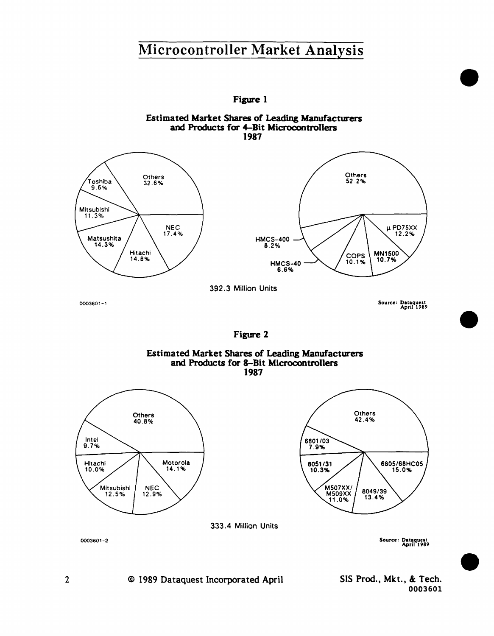

© 1989 Dataquest Incorporated April SIS Prod., Mkt., & Tech. 0003601 •

•

•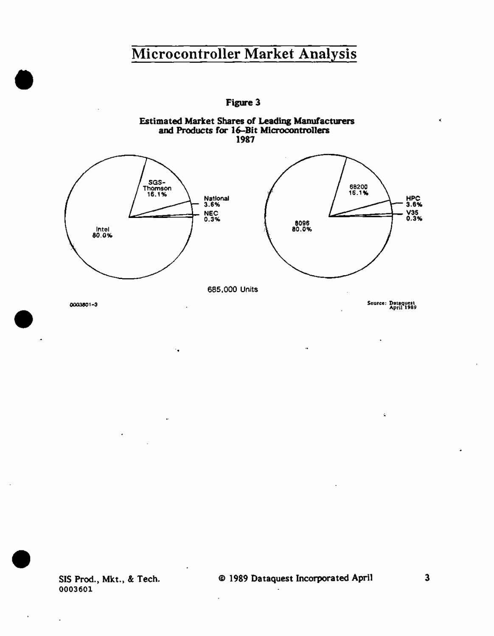Figure 3

Estimated Market Shares of Leading Manufacturers



. .

•

 $\bullet$ 

•

SIS Prod., Mkt., & Tech. 0003601

© 1989 Dataquest Incorporated April 3

 $\overline{a}$ 

Ł.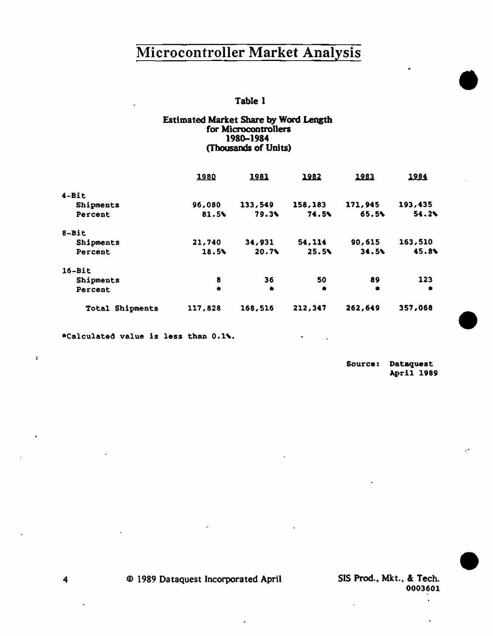### Table 1

#### Estimated Market Share by Word Length for Microcontrollers 1980-1984 (Thousands of Units}

|                 | 1980      | 1981    | 1982      | 1983    | 1984    |
|-----------------|-----------|---------|-----------|---------|---------|
| $4 - Bit$       |           |         |           |         |         |
| Shipments       | 96,080    | 133,549 | 158,183   | 171,945 | 193,435 |
| Percent         | 81.5%     | 79.3%   | 74.5%     | 65.5%   | 54.24   |
| $8 - Bit$       |           |         |           |         |         |
| Shipments       | 21,740    | 34,931  | 54,114    | 90,615  | 163,510 |
| Percent         | 18.5%     | 20.7%   | 25.5%     | 34.5%   | 45.8%   |
| $16 - Bit$      |           |         |           |         |         |
| Shipments       | 8         | 36      | 50        | 89      | 123     |
| Percent         | $\bullet$ | ٠       | $\bullet$ | ۰       | ۰       |
| Total Shipments | 117,828   | 168,516 | 212,347   | 262,649 | 357,068 |

\*Calculated value is less than 0.1%.

Source: Dataquest April 1989

..

•

•

•

4 © 1989 Dataquest Incorporated April

SIS Prod., Mkt., &: Tech. 0003601

t.

 $\ddot{\bullet}$ 

..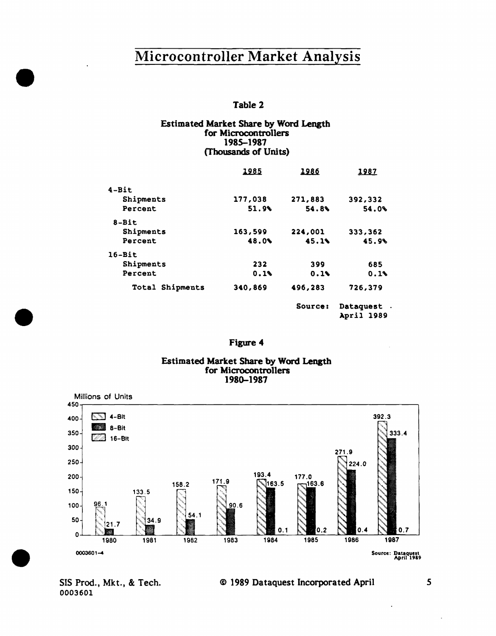#### Table 2

#### Estimated Market Share by Word Length for Microcontrollers 1985-1987 (Thousands of Units)

|                  | 1985    | 1986    | 1987       |
|------------------|---------|---------|------------|
| $4 - Bit$        |         |         |            |
| Shipments        | 177,038 | 271,883 | 392,332    |
| Percent          | 51.9%   | 54.89   | 54.0%      |
| 8-Bit            |         |         |            |
| Shipments        | 163,599 | 224,001 | 333,362    |
| Percent          | 48.0%   | 45.1%   | 45.9%      |
| $16-Bit$         |         |         |            |
| <b>Shipments</b> | 232     | 399     | 685        |
| Percent          | 0.1%    | 0.14    | 0.1%       |
| Total Shipments  | 340,869 | 496,283 | 726,379    |
|                  |         | Source: | Dataquest  |
|                  |         |         | April 1989 |

#### Figure 4

#### Estimated Market Share by Word Length for Microcontrollers 1980-1987



SIS Prod., Mkt., & Tech. 0003601

•

•

•

#### © 1989 Dataquest Incorporated April 5

 $\ddot{\phantom{a}}$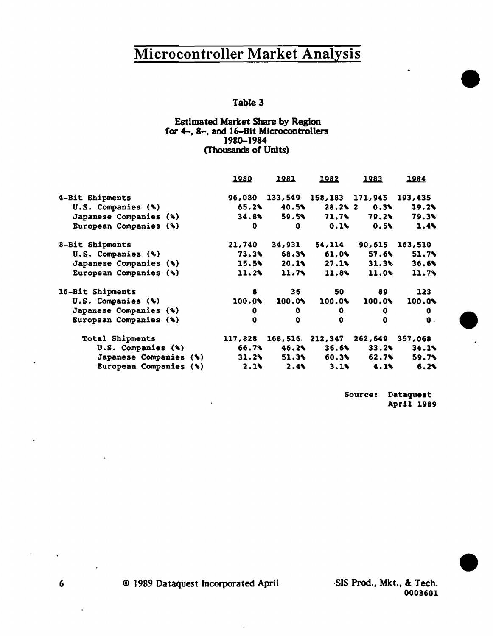### Table 3

#### Estimated Market Share by Region for 4-, 8-, and 16-Bit Microcontrollers 1784-1784 (Thousands of Units)

|                               | <u> 1980</u> | 1981         | 1982         | 1983                                   | 1984    |
|-------------------------------|--------------|--------------|--------------|----------------------------------------|---------|
| 4-Bit Shipments               |              |              |              | 96,080 133,549 158,183 171,945 193,435 |         |
| U.S. Companies (%)            | 65.2%        | 40.5%        | $28.2$ $2$   | 0.3%                                   | 19.2    |
| Japanese Companies (%)        | 34.8%        | 59.5%        | 71.7%        | 79.2%                                  | 79.3%   |
| European Companies (%)        | 0            | 0.           | $0.1$ \      | 0.5%                                   | 1.4     |
| 8-Bit Shipments               | 21,740       | 34,931       | 54,114       | 90,615                                 | 163,510 |
| U.S. Companies (%)            | 73.3%        | 68.3%        | 61.0%        | 57.6%                                  | 51.7%   |
| Japanese Companies (%)        | 15.5%        | 20.1%        | $27.1$ \     | 31.3%                                  | 36.6%   |
| European Companies (%)        | 11.2         | 11.7%        | 11.8         | 11.0                                   | 11.7%   |
| 16-Bit Shipments              | 8            | 36 -         | 50.          | 89                                     | 123     |
| U.S. Companies (%)            | 100.0        | 100.0%       | 100.0%       | 100.0%                                 | 100.0%  |
| Japanese Companies (%)        | 0            | 0            | 0.           | 0                                      | 0.      |
| European Companies (%)        | 0            | 0            | 0            | 0                                      | 0.      |
| <b>Total Shipments</b>        | 117,828      |              |              | 168,516 212,347 262,649                | 357,068 |
| U.S. Companies (%)            | 66.7%        | 46.2%        |              | 33.2                                   | 34.1%   |
| <b>Japanese Companies (%)</b> | 31.2         | 51.3%        | 60.3%        | 62.7%                                  | 59.7%   |
| European Companies (%)        | 2.1          | $2.4$ $\sim$ | $3.1$ $\sim$ | 4.1                                    | 6.2     |

Source: Dataquest April 1989 •

 $\bullet$ 

•

·SIS Prod., Mkt., & Tech. 0003601

 $\mathcal{L}_{\mathcal{G}}$ 

 $\ddot{\phantom{a}}$ 

6 © 1989 Dataquest Incorporated April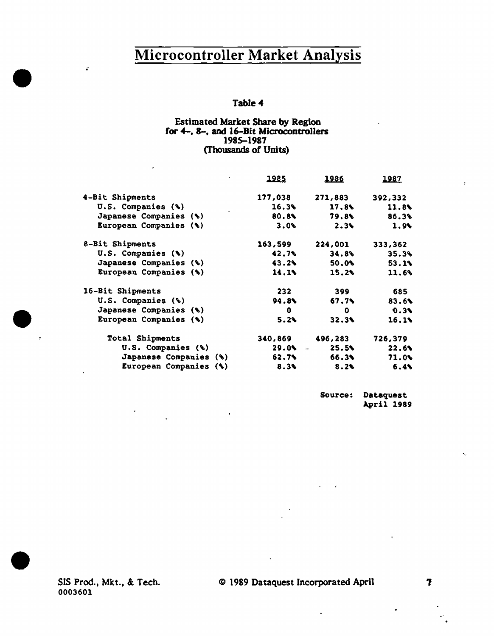### Table 4

#### Estimated Market Share by Region for 4-, 8-, and 16-Bit Microcontrollers 1985-1987 (Thousands of Units)

| 1985        | <u> 1986 </u> | <u> 1987 </u>                                      |
|-------------|---------------|----------------------------------------------------|
| 177,038     | 271,883       | 392,332                                            |
| 16.3%       | 17.8          | 11.8                                               |
|             | 79.8%         | 86.3%                                              |
| 3.0         | 2.34          | 1.94                                               |
| 163,599     | 224,001       | 333,362                                            |
| 42.7%       | 34.8          | 35.3%                                              |
| 43.2%       | 50.0%         | 53.1%                                              |
| 14.1%       | 15.2          | 11.6%                                              |
| 232         | 399           | 685                                                |
| 94.8%       | 67.7N         | 83.6%                                              |
| $\mathbf 0$ | 0             | 0.3%                                               |
| 5.2%        | 32.3%         | 16.18                                              |
|             | 496,283       | 726,379                                            |
|             | 25.5          | 22.6                                               |
|             | 66.3%         | 71.0                                               |
|             | 8.2           | 6.4                                                |
|             |               | 80.8%<br>340,869<br>$29.0$ $\sim$<br>62.7%<br>8.3% |

Source: Dataquest April 1989

SIS Prod., Mkt., &. Tech. 0003601

•

~··

 $\bullet$ 

•

### © 1989 Dataquest Incorporated April 1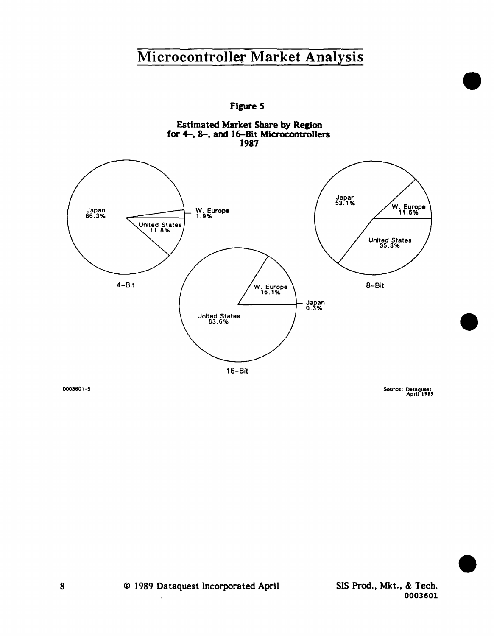Figure *S* 





0003601-5

Source: Data~uea1 April 1989

•

•

•

SIS Prod., Mkt., & Tech. 0003601

<sup>~</sup>1989 Dataquest Incorporated April

 $\overline{a}$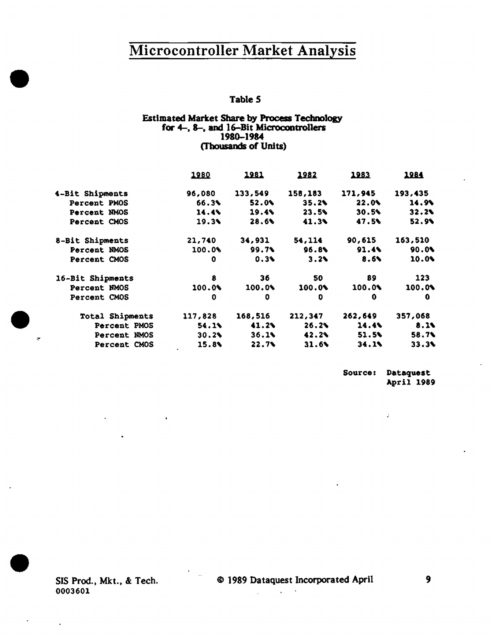### Table *S*

#### Estimated Market Share by Process Technology for 4-, 8-, and 16-Bit Microcontrollers 1980-1984 (Thousands of Units)

|                  | 1980    | <u> 1981 </u> | 1982    | 1983     | <u> 1984 </u> |
|------------------|---------|---------------|---------|----------|---------------|
| 4-Bit Shipments  | 96,080  | 133,549       | 158,183 | 171,945  | 193,435       |
| Percent PMOS     | 66.3%   | 52.0%         | 35.2%   | $22.0\%$ | 14.9%         |
| Percent NMOS     | 14.4%   | 19.4%         | 23.5%   | 30.5%    | 32.24         |
| Percent CMOS     | 19.39   | 28.6%         | 41.39   | 47.5%    | 52.9%         |
| 8-Bit Shipments  | 21,740  | 34,931        | 54, 114 | 90,615   | 163,510       |
| Percent NMOS     | 100.0%  | 99.7%         | 96.8%   | $91.4\%$ | 90.04         |
| Percent CMOS     | 0       | 0.3%          | 3.24    | 8.6%     | 10.0%         |
| 16-Bit Shipments | 8       | 36            | 50      | 89       | 123           |
| Percent NMOS     | 100.09  | 100.0%        | 100.0   | 100.01   | 100.0%        |
| Percent CMOS     | 0       | 0             | o       | 0        | 0             |
| Total Shipments  | 117,828 | 168,516       | 212,347 | 262,649  | 357,068       |
| Percent PMOS     | 54.1%   | 41.2          | 26.2%   | $14.4\%$ | 8.1%          |
| Percent NMOS     | 30.2%   | 36.1%         | 42.2%   | 51.5%    | 58.7%         |
| Percent CMOS     | 15.8%   | 22.7%         | 31.6    | $34.1\%$ | 33.3%         |

Source: Dataquest April 1989

 $\mathcal{L}^{\mathcal{L}}$ 

SIS Prod., Mkt., & Tech. 0003601

 $\mathcal{A}$ 

•

 $\bullet$  .

•

 $\ddot{\phantom{0}}$ 

 $\mathcal{L}^{\text{max}}$  and  $\mathcal{L}^{\text{max}}$ 

 $\Delta \sim 10$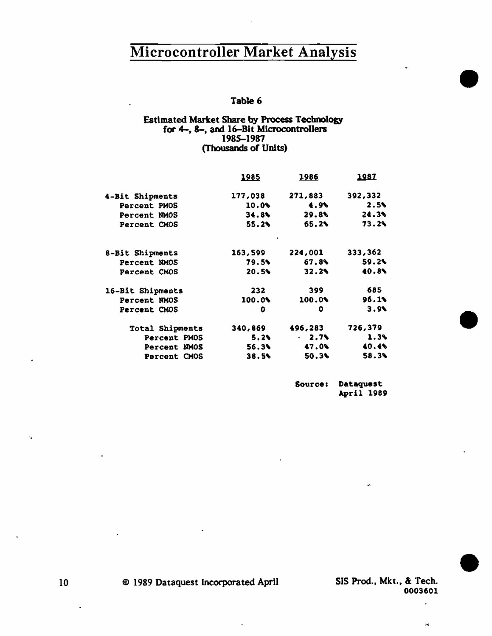### Table 6

### Estimated Market Share by Process Technology for 4-, 8-, and 16-Bit Microcontrollers 1985-1987 {Thousands of Units)

| <u> 1985 </u> | 1986           | <u> 1987 </u> |
|---------------|----------------|---------------|
| 177,038       | 271,883        | 392,332       |
| 10.0%         | 4.9            | 2.5%          |
|               | 29.8%          | 24.3%         |
| 55.2%         | 65.2%          | 73.2%         |
| 163,599       | 224,001        | 333,362       |
| 79.5%         | <b>67.8%</b>   | $59.2\%$      |
| 20.5          | 32.2%          | 40.8%         |
| 232           | 399            | 685           |
| 100.0%        | 100.01         | 96.1%         |
| o             | ٥              | 3.9           |
| 340,869       | 496,283        | 726,379       |
| 5.24          | $-2.75$        | 1.3%          |
|               | 47.0%          | 40.4%         |
| 38.5          | $50.3\text{V}$ | 58.3%         |
|               | $\blacksquare$ | 34.8<br>56.3% |

Sources Dataquest April 1989

> SIS Prod., Mkt., & Tech. 0003601

> > $\ddot{\phantom{0}}$

 $\bar{\rm M}$ 

k.

•

•

•

© 1989 Dataquest Incorporated April

-.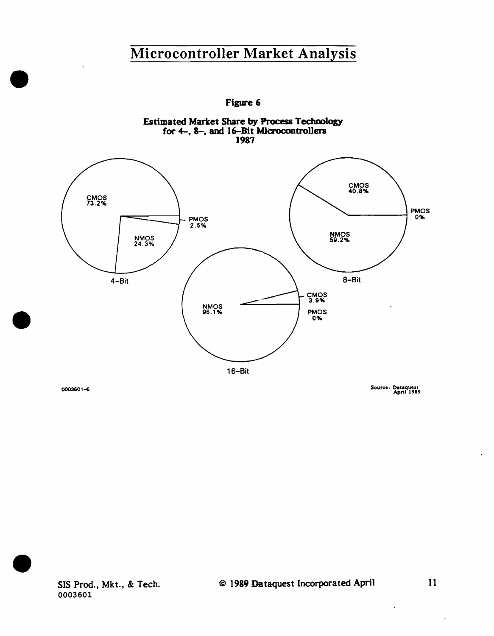

Figure 6

0003601-fi

•

•

Source: Dataquest<br>April 1989



 $\overline{\phantom{a}}$ 

ä,